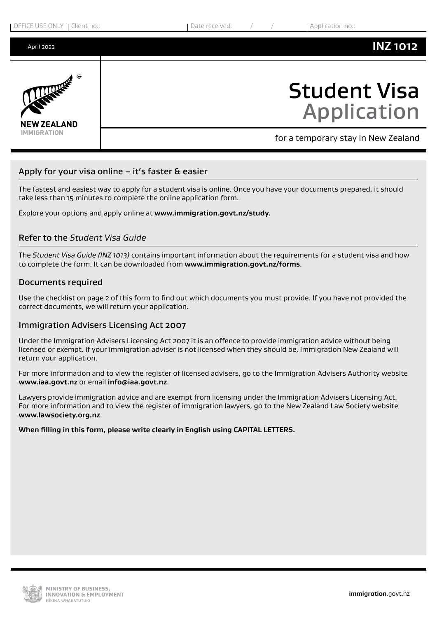April 2022

# **NEW ZEALAND IMMIGRATION**

## Student Visa Application

**INZ 1012**

for a temporary stay in New Zealand

#### Apply for your visa online – it's faster & easier

The fastest and easiest way to apply for a student visa is online. Once you have your documents prepared, it should take less than 15 minutes to complete the online application form.

Explore your options and apply online at **www.immigration.govt.nz/study.**

#### Refer to the *Student Visa Guide*

The *Student Visa Guide (INZ 1013)* contains important information about the requirements for a student visa and how to complete the form. It can be downloaded from **<www.immigration.govt.nz/forms>**.

#### Documents required

Use the checklist on page 2 of this form to find out which documents you must provide. If you have not provided the correct documents, we will return your application.

#### Immigration Advisers Licensing Act 2007

Under the Immigration Advisers Licensing Act 2007 it is an offence to provide immigration advice without being licensed or exempt. If your immigration adviser is not licensed when they should be, Immigration New Zealand will return your application.

For more information and to view the register of licensed advisers, go to the Immigration Advisers Authority website **<www.iaa.govt.nz>** or email **[info@iaa.govt.nz](mailto:info@iaa.govt.nz)**.

Lawyers provide immigration advice and are exempt from licensing under the Immigration Advisers Licensing Act. For more information and to view the register of immigration lawyers, go to the New Zealand Law Society website **<www.lawsociety.org.nz>**.

#### **When filling in this form, please write clearly in English using CAPITAL LETTERS.**

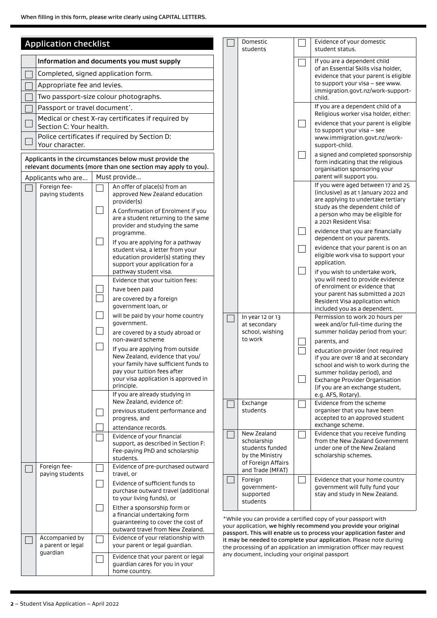|                                                                                                                        | <b>Application checklist</b>                                                  |               |                                                                                                                                                                                              |                                                                                                                                                                                                          | Domestic<br>students                           |                                                                                                          | Evidence of your domestic<br>student status.                                                                                                                               |
|------------------------------------------------------------------------------------------------------------------------|-------------------------------------------------------------------------------|---------------|----------------------------------------------------------------------------------------------------------------------------------------------------------------------------------------------|----------------------------------------------------------------------------------------------------------------------------------------------------------------------------------------------------------|------------------------------------------------|----------------------------------------------------------------------------------------------------------|----------------------------------------------------------------------------------------------------------------------------------------------------------------------------|
|                                                                                                                        |                                                                               |               | Information and documents you must supply                                                                                                                                                    |                                                                                                                                                                                                          |                                                |                                                                                                          | If you are a dependent child                                                                                                                                               |
|                                                                                                                        | Completed, signed application form.                                           |               |                                                                                                                                                                                              |                                                                                                                                                                                                          |                                                |                                                                                                          | of an Essential Skills visa holder,<br>evidence that your parent is eligible                                                                                               |
|                                                                                                                        | Appropriate fee and levies.                                                   |               |                                                                                                                                                                                              |                                                                                                                                                                                                          |                                                |                                                                                                          | to support your visa - see www.                                                                                                                                            |
|                                                                                                                        | Two passport-size colour photographs.                                         |               |                                                                                                                                                                                              |                                                                                                                                                                                                          |                                                |                                                                                                          | immigration.govt.nz/work-support-<br>child.                                                                                                                                |
|                                                                                                                        | Passport or travel document <sup>*</sup> .                                    |               |                                                                                                                                                                                              |                                                                                                                                                                                                          |                                                |                                                                                                          | If you are a dependent child of a<br>Religious worker visa holder, either:                                                                                                 |
|                                                                                                                        | Medical or chest X-ray certificates if required by<br>Section C: Your health. |               |                                                                                                                                                                                              |                                                                                                                                                                                                          |                                                |                                                                                                          | evidence that your parent is eligible                                                                                                                                      |
|                                                                                                                        | Police certificates if required by Section D:<br>Your character.              |               |                                                                                                                                                                                              |                                                                                                                                                                                                          |                                                |                                                                                                          | to support your visa - see<br>www.immigration.govt.nz/work-<br>support-child.                                                                                              |
| Applicants in the circumstances below must provide the<br>relevant documents (more than one section may apply to you). |                                                                               |               |                                                                                                                                                                                              |                                                                                                                                                                                                          | $\overline{\phantom{a}}$                       | a signed and completed sponsorship<br>form indicating that the religious<br>organisation sponsoring your |                                                                                                                                                                            |
|                                                                                                                        | Applicants who are                                                            |               | Must provide                                                                                                                                                                                 |                                                                                                                                                                                                          |                                                |                                                                                                          | parent will support you.<br>If you were aged between 17 and 25                                                                                                             |
|                                                                                                                        | Foreign fee-<br>paying students                                               | $\mathcal{L}$ | An offer of place(s) from an<br>approved New Zealand education<br>provider(s)<br>A Confirmation of Enrolment if you<br>are a student returning to the same<br>provider and studying the same |                                                                                                                                                                                                          |                                                |                                                                                                          | (inclusive) as at 1 January 2022 and<br>are applying to undertake tertiary<br>study as the dependent child of<br>a person who may be eligible for<br>a 2021 Resident Visa: |
|                                                                                                                        |                                                                               |               | programme.                                                                                                                                                                                   |                                                                                                                                                                                                          |                                                |                                                                                                          | evidence that you are financially<br>dependent on your parents.                                                                                                            |
|                                                                                                                        |                                                                               |               | If you are applying for a pathway<br>student visa, a letter from your<br>education provider(s) stating they<br>support your application for a                                                |                                                                                                                                                                                                          |                                                |                                                                                                          | evidence that your parent is on an<br>eligible work visa to support your<br>application.                                                                                   |
|                                                                                                                        |                                                                               |               | pathway student visa.                                                                                                                                                                        |                                                                                                                                                                                                          |                                                |                                                                                                          | if you wish to undertake work,                                                                                                                                             |
|                                                                                                                        |                                                                               |               | Evidence that your tuition fees:<br>have been paid                                                                                                                                           |                                                                                                                                                                                                          |                                                |                                                                                                          | you will need to provide evidence<br>of enrolment or evidence that                                                                                                         |
|                                                                                                                        |                                                                               |               | are covered by a foreign                                                                                                                                                                     |                                                                                                                                                                                                          |                                                |                                                                                                          | your parent has submitted a 2021<br>Resident Visa application which                                                                                                        |
|                                                                                                                        |                                                                               |               | government loan, or                                                                                                                                                                          |                                                                                                                                                                                                          |                                                |                                                                                                          | included you as a dependent.                                                                                                                                               |
|                                                                                                                        |                                                                               |               | will be paid by your home country<br>government.                                                                                                                                             |                                                                                                                                                                                                          | In year 12 or 13<br>at secondary               |                                                                                                          | Permission to work 20 hours per<br>week and/or full-time during the                                                                                                        |
|                                                                                                                        |                                                                               |               | are covered by a study abroad or<br>non-award scheme                                                                                                                                         |                                                                                                                                                                                                          | school, wishing<br>to work                     |                                                                                                          | summer holiday period from your:                                                                                                                                           |
|                                                                                                                        |                                                                               |               | If you are applying from outside                                                                                                                                                             |                                                                                                                                                                                                          |                                                |                                                                                                          | parents, and<br>education provider (not required                                                                                                                           |
|                                                                                                                        |                                                                               |               | New Zealand, evidence that you/<br>your family have sufficient funds to                                                                                                                      |                                                                                                                                                                                                          |                                                |                                                                                                          | if you are over 18 and at secondary                                                                                                                                        |
|                                                                                                                        |                                                                               |               | pay your tuition fees after                                                                                                                                                                  |                                                                                                                                                                                                          |                                                |                                                                                                          | school and wish to work during the<br>summer holiday period), and                                                                                                          |
|                                                                                                                        |                                                                               |               | your visa application is approved in<br>principle.                                                                                                                                           |                                                                                                                                                                                                          |                                                |                                                                                                          | Exchange Provider Organisation<br>(if you are an exchange student,                                                                                                         |
|                                                                                                                        |                                                                               |               | If you are already studying in                                                                                                                                                               |                                                                                                                                                                                                          |                                                |                                                                                                          | e.g. AFS, Rotary).                                                                                                                                                         |
|                                                                                                                        |                                                                               |               | New Zealand, evidence of:<br>previous student performance and                                                                                                                                |                                                                                                                                                                                                          | Exchange<br>students                           |                                                                                                          | Evidence from the scheme<br>organiser that you have been                                                                                                                   |
|                                                                                                                        |                                                                               |               | progress, and                                                                                                                                                                                |                                                                                                                                                                                                          |                                                |                                                                                                          | accepted to an approved student<br>exchange scheme.                                                                                                                        |
|                                                                                                                        |                                                                               |               | attendance records.<br>Evidence of your financial                                                                                                                                            |                                                                                                                                                                                                          | New Zealand                                    |                                                                                                          | Evidence that you receive funding                                                                                                                                          |
|                                                                                                                        |                                                                               |               | support, as described in Section F:<br>Fee-paying PhD and scholarship                                                                                                                        |                                                                                                                                                                                                          | scholarship<br>students funded                 |                                                                                                          | from the New Zealand Government<br>under one of the New Zealand                                                                                                            |
|                                                                                                                        |                                                                               |               | students.                                                                                                                                                                                    |                                                                                                                                                                                                          | by the Ministry<br>of Foreign Affairs          |                                                                                                          | scholarship schemes.                                                                                                                                                       |
|                                                                                                                        | Foreign fee-<br>paying students                                               |               | Evidence of pre-purchased outward<br>travel, or                                                                                                                                              |                                                                                                                                                                                                          | and Trade (MFAT)                               |                                                                                                          |                                                                                                                                                                            |
|                                                                                                                        |                                                                               |               | Evidence of sufficient funds to<br>purchase outward travel (additional<br>to your living funds), or                                                                                          |                                                                                                                                                                                                          | Foreign<br>government-<br>supported            | $\mathbf{L}$                                                                                             | Evidence that your home country<br>government will fully fund your<br>stay and study in New Zealand.                                                                       |
|                                                                                                                        |                                                                               |               | Either a sponsorship form or                                                                                                                                                                 |                                                                                                                                                                                                          | students                                       |                                                                                                          |                                                                                                                                                                            |
|                                                                                                                        |                                                                               |               | a financial undertaking form<br>guaranteeing to cover the cost of<br>outward travel from New Zealand.                                                                                        | *While you can provide a certified copy of your passport with<br>your application, we highly recommend you provide your original<br>passport. This will enable us to process your application faster and |                                                |                                                                                                          |                                                                                                                                                                            |
|                                                                                                                        | Accompanied by<br>a parent or legal                                           |               | Evidence of your relationship with<br>your parent or legal guardian.                                                                                                                         |                                                                                                                                                                                                          |                                                |                                                                                                          | it may be needed to complete your application. Please note during<br>the processing of an application an immigration officer may request                                   |
|                                                                                                                        | quardian                                                                      |               | Evidence that your parent or legal<br>guardian cares for you in your<br>home country.                                                                                                        |                                                                                                                                                                                                          | any document, including your original passport |                                                                                                          |                                                                                                                                                                            |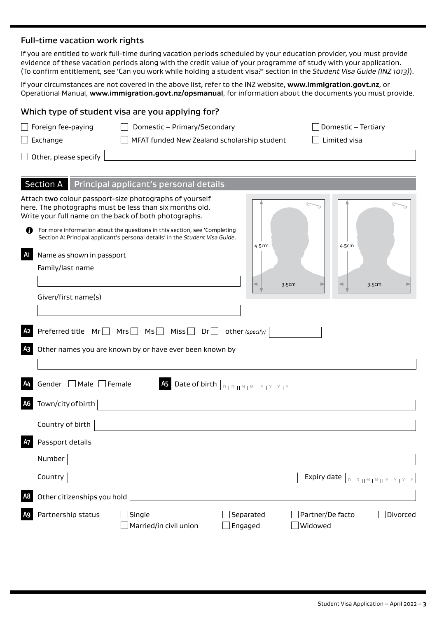#### Full-time vacation work rights

If you are entitled to work full-time during vacation periods scheduled by your education provider, you must provide evidence of these vacation periods along with the credit value of your programme of study with your application. (To confirm entitlement, see 'Can you work while holding a student visa?' section in the *Student Visa Guide (INZ 1013)*).

If your circumstances are not covered in the above list, refer to the INZ website, **[www.immigration.govt.nz](http://www.immigration.govt.nz)**, or Operational Manual, **<www.immigration.govt.nz/opsmanual>**, for information about the documents you must provide.

|                      |                                               | Which type of student visa are you applying for?                                                                                                                                                                                                                                                                                          |                                                                          |                                                            |
|----------------------|-----------------------------------------------|-------------------------------------------------------------------------------------------------------------------------------------------------------------------------------------------------------------------------------------------------------------------------------------------------------------------------------------------|--------------------------------------------------------------------------|------------------------------------------------------------|
|                      | $\Box$ Foreign fee-paying                     | Domestic - Primary/Secondary                                                                                                                                                                                                                                                                                                              |                                                                          | Domestic - Tertiary                                        |
|                      | $\Box$ Exchange                               | MFAT funded New Zealand scholarship student                                                                                                                                                                                                                                                                                               |                                                                          | Limited visa                                               |
|                      | $\Box$ Other, please specify                  |                                                                                                                                                                                                                                                                                                                                           |                                                                          |                                                            |
|                      |                                               |                                                                                                                                                                                                                                                                                                                                           |                                                                          |                                                            |
|                      |                                               | Section A Principal applicant's personal details                                                                                                                                                                                                                                                                                          |                                                                          |                                                            |
| Ø<br>A1              | Name as shown in passport<br>Family/last name | Attach two colour passport-size photographs of yourself<br>here. The photographs must be less than six months old.<br>Write your full name on the back of both photographs.<br>For more information about the questions in this section, see 'Completing<br>Section A: Principal applicant's personal details' in the Student Visa Guide. | 4.5cm                                                                    | 4.5cm                                                      |
|                      | Given/first name(s)                           |                                                                                                                                                                                                                                                                                                                                           | 3.5cm                                                                    | 3.5cm                                                      |
| A2<br>A <sub>3</sub> |                                               | Preferred title $Mr \Box$ Mrs $\Box$ Ms $\Box$ Miss $\Box$ Dr $\Box$<br>Other names you are known by or have ever been known by                                                                                                                                                                                                           | other (specify)                                                          |                                                            |
| <b>A6</b>            | Gender Male Female<br>Town/city of birth      |                                                                                                                                                                                                                                                                                                                                           | As Date of birth $\left[\begin{array}{c c} 0 & 0 & 0 \end{array}\right]$ |                                                            |
|                      | Country of birth                              |                                                                                                                                                                                                                                                                                                                                           |                                                                          |                                                            |
| <b>A7</b>            | Passport details<br>Number                    |                                                                                                                                                                                                                                                                                                                                           |                                                                          |                                                            |
| A <sub>8</sub>       | Country<br>Other citizenships you hold        |                                                                                                                                                                                                                                                                                                                                           |                                                                          | Expiry date<br>$D + D + \underline{M + M + Y + Y + Y + Y}$ |
| A <sub>9</sub>       | Partnership status                            | Single<br>Married/in civil union                                                                                                                                                                                                                                                                                                          | $]$ Separated<br>$\exists$ Engaged                                       | Partner/De facto<br>Divorced<br>Widowed                    |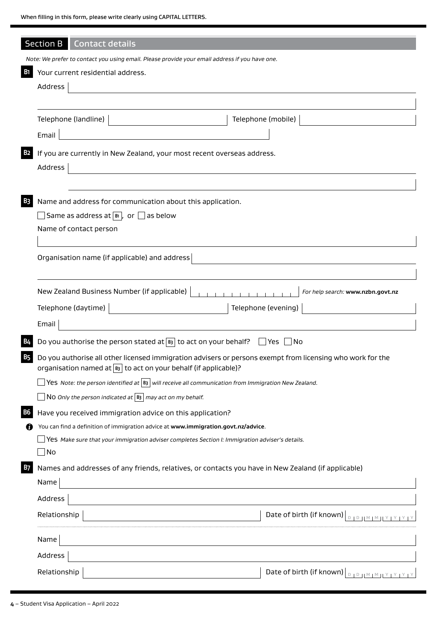|           | Section B<br><b>Contact details</b>                                                                                                                                                     |                                                            |
|-----------|-----------------------------------------------------------------------------------------------------------------------------------------------------------------------------------------|------------------------------------------------------------|
|           | Note: We prefer to contact you using email. Please provide your email address if you have one.                                                                                          |                                                            |
| <b>B1</b> | Your current residential address.                                                                                                                                                       |                                                            |
|           | Address                                                                                                                                                                                 |                                                            |
|           |                                                                                                                                                                                         |                                                            |
|           | Telephone (landline)                                                                                                                                                                    | Telephone (mobile)                                         |
|           | Email                                                                                                                                                                                   |                                                            |
| <b>B2</b> | If you are currently in New Zealand, your most recent overseas address.                                                                                                                 |                                                            |
|           | Address                                                                                                                                                                                 |                                                            |
|           |                                                                                                                                                                                         |                                                            |
| <b>B3</b> | Name and address for communication about this application.                                                                                                                              |                                                            |
|           | Same as address at $\boxed{\mathbb{B}}$ , or $\boxed{\phantom{0}}$ as below                                                                                                             |                                                            |
|           | Name of contact person                                                                                                                                                                  |                                                            |
|           |                                                                                                                                                                                         |                                                            |
|           | Organisation name (if applicable) and address                                                                                                                                           |                                                            |
|           |                                                                                                                                                                                         |                                                            |
|           |                                                                                                                                                                                         |                                                            |
|           | New Zealand Business Number (if applicable)                                                                                                                                             | For help search: www.nzbn.govt.nz                          |
|           | Telephone (daytime)                                                                                                                                                                     | Telephone (evening)                                        |
|           | Email                                                                                                                                                                                   |                                                            |
| <b>B4</b> | Do you authorise the person stated at $\boxed{B3}$ to act on your behalf?                                                                                                               | Yes<br>∣No                                                 |
| B5        | Do you authorise all other licensed immigration advisers or persons exempt from licensing who work for the<br>organisation named at $\boxed{B3}$ to act on your behalf (if applicable)? |                                                            |
|           | Yes Note: the person identified at $\boxed{B}$ will receive all communication from Immigration New Zealand.                                                                             |                                                            |
|           | NO Only the person indicated at $ B_3 $ may act on my behalf.                                                                                                                           |                                                            |
| <b>B6</b> | Have you received immigration advice on this application?                                                                                                                               |                                                            |
| W         | You can find a definition of immigration advice at www.immigration.govt.nz/advice.                                                                                                      |                                                            |
|           | Yes Make sure that your immigration adviser completes Section I: Immigration adviser's details.                                                                                         |                                                            |
|           | $\Box$ No                                                                                                                                                                               |                                                            |
| <b>B7</b> | Names and addresses of any friends, relatives, or contacts you have in New Zealand (if applicable)                                                                                      |                                                            |
|           | Name                                                                                                                                                                                    |                                                            |
|           | Address                                                                                                                                                                                 |                                                            |
|           | Relationship                                                                                                                                                                            | Date of birth (if known) $\vert_{\text{DIPHHMINIVIVIVIV}}$ |
|           | Name                                                                                                                                                                                    |                                                            |
|           | Address                                                                                                                                                                                 |                                                            |
|           | Relationship                                                                                                                                                                            | Date of birth (if known) $\boxed{\text{max}$               |

**4** – Student Visa Application – April 2022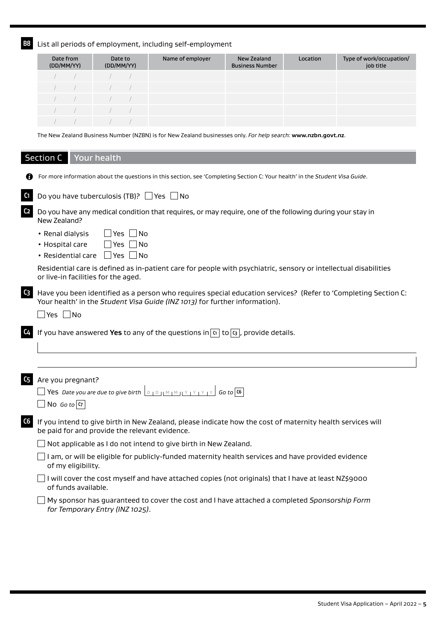**B8** List all periods of employment, including self-employment

| Date from<br>(DD/MM/YY)                                                                                                                                                                                                                                                                                             | Date to<br>(DD/MM/YY)    | Name of employer | New Zealand<br><b>Business Number</b> | Location | Type of work/occupation/<br>job title |
|---------------------------------------------------------------------------------------------------------------------------------------------------------------------------------------------------------------------------------------------------------------------------------------------------------------------|--------------------------|------------------|---------------------------------------|----------|---------------------------------------|
|                                                                                                                                                                                                                                                                                                                     |                          |                  |                                       |          |                                       |
| $\frac{1}{2}$ $\frac{1}{2}$ $\frac{1}{2}$ $\frac{1}{2}$ $\frac{1}{2}$ $\frac{1}{2}$ $\frac{1}{2}$ $\frac{1}{2}$ $\frac{1}{2}$ $\frac{1}{2}$ $\frac{1}{2}$ $\frac{1}{2}$ $\frac{1}{2}$ $\frac{1}{2}$ $\frac{1}{2}$ $\frac{1}{2}$ $\frac{1}{2}$ $\frac{1}{2}$ $\frac{1}{2}$ $\frac{1}{2}$ $\frac{1}{2}$ $\frac{1}{2}$ |                          |                  |                                       |          |                                       |
|                                                                                                                                                                                                                                                                                                                     | $\overline{\phantom{a}}$ |                  |                                       |          |                                       |
|                                                                                                                                                                                                                                                                                                                     |                          |                  |                                       |          |                                       |
|                                                                                                                                                                                                                                                                                                                     |                          |                  |                                       |          |                                       |

The New Zealand Business Number (NZBN) is for New Zealand businesses only. *For help search:* **www.nzbn.govt.nz**.

Section C Your health

|                | For more information about the questions in this section, see 'Completing Section C: Your health' in the Student Visa Guide.                                                                  |
|----------------|-----------------------------------------------------------------------------------------------------------------------------------------------------------------------------------------------|
| C1             | Do you have tuberculosis (TB)? $\Box$ Yes $\Box$ No                                                                                                                                           |
| C <sub>2</sub> | Do you have any medical condition that requires, or may require, one of the following during your stay in<br>New Zealand?                                                                     |
|                | $\Box$ Yes $\Box$ No<br>• Renal dialysis                                                                                                                                                      |
|                | Yes    No<br>• Hospital care                                                                                                                                                                  |
|                | • Residential care   Yes   No                                                                                                                                                                 |
|                | Residential care is defined as in-patient care for people with psychiatric, sensory or intellectual disabilities<br>or live-in facilities for the aged.                                       |
| C <sub>3</sub> | Have you been identified as a person who requires special education services? (Refer to 'Completing Section C:<br>Your health' in the Student Visa Guide (INZ 1013) for further information). |
|                | $\Box$ Yes $\Box$ No                                                                                                                                                                          |
| C4             | If you have answered Yes to any of the questions in $\alpha$ to $\alpha$ , provide details.                                                                                                   |
|                |                                                                                                                                                                                               |
| C <sub>5</sub> | Are you pregnant?                                                                                                                                                                             |
|                | <b>So to some Yes</b> Date you are due to give birth $\boxed{D + D +  M + M + Y + Y + Y}$ Go to $\boxed{6}$                                                                                   |
|                | $\Box$ No Go to $\sigma$                                                                                                                                                                      |
|                |                                                                                                                                                                                               |
| C6             | If you intend to give birth in New Zealand, please indicate how the cost of maternity health services will<br>be paid for and provide the relevant evidence.                                  |
|                | Not applicable as I do not intend to give birth in New Zealand.                                                                                                                               |
|                | I am, or will be eligible for publicly-funded maternity health services and have provided evidence<br>of my eligibility.                                                                      |
|                | I will cover the cost myself and have attached copies (not originals) that I have at least NZ\$9000<br>of funds available.                                                                    |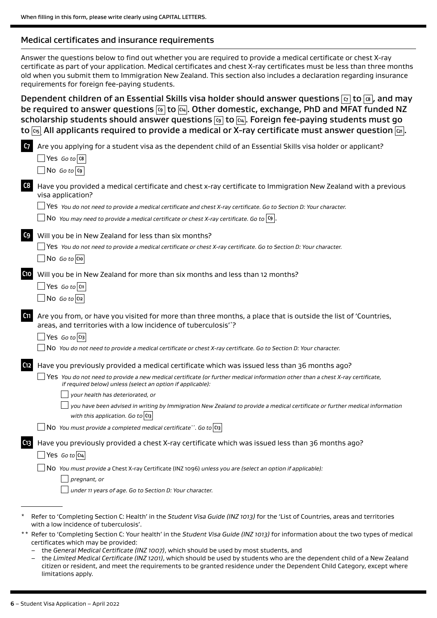#### Medical certificates and insurance requirements

Answer the questions below to find out whether you are required to provide a medical certificate or chest X-ray certificate as part of your application. Medical certificates and chest X-ray certificates must be less than three months old when you submit them to Immigration New Zealand. This section also includes a declaration regarding insurance requirements for foreign fee-paying students.

Dependent children of an Essential Skills visa holder should answer questions **C7** to **C8** , and may be required to answer questions **C9** to **C14** . Other domestic, exchange, PhD and MFAT funded NZ scholarship students should answer questions **C9** to **C14** . Foreign fee-paying students must go to  $\overline{c_1s}$  All applicants required to provide a medical or X-ray certificate must answer question  $\overline{c_2}$ .

| C <sub>7</sub>  | Are you applying for a student visa as the dependent child of an Essential Skills visa holder or applicant?<br>$\Box$ Yes Go to $\alpha$<br>$\Box$ No Go to $\vert$ C9                                             |
|-----------------|--------------------------------------------------------------------------------------------------------------------------------------------------------------------------------------------------------------------|
| C8              | Have you provided a medical certificate and chest x-ray certificate to Immigration New Zealand with a previous<br>visa application?                                                                                |
|                 | $\Box$ Yes You do not need to provide a medical certificate and chest X-ray certificate. Go to Section D: Your character.                                                                                          |
|                 | $\Box$ N0 You may need to provide a medical certificate or chest X-ray certificate. Go to $ {\mathfrak c}_{\mathsf{9}} .$                                                                                          |
| C9              | Will you be in New Zealand for less than six months?                                                                                                                                                               |
|                 | Yes You do not need to provide a medical certificate or chest X-ray certificate. Go to Section D: Your character.                                                                                                  |
|                 | $\Box$ No Go to C10                                                                                                                                                                                                |
| C10             | Will you be in New Zealand for more than six months and less than 12 months?                                                                                                                                       |
|                 | $\Box$ Yes Go to $ cn $                                                                                                                                                                                            |
|                 | $\Box$ No Go to $\alpha$                                                                                                                                                                                           |
|                 |                                                                                                                                                                                                                    |
| C <sub>11</sub> | Are you from, or have you visited for more than three months, a place that is outside the list of 'Countries,                                                                                                      |
|                 | areas, and territories with a low incidence of tuberculosis"?                                                                                                                                                      |
|                 | $\Box$ Yes Go to $\Box$                                                                                                                                                                                            |
|                 | No You do not need to provide a medical certificate or chest X-ray certificate. Go to Section D: Your character.                                                                                                   |
| C <sub>12</sub> | Have you previously provided a medical certificate which was issued less than 36 months ago?                                                                                                                       |
|                 | $\Box$ <code>Yes </code> You do not need to provide a new medical certificate (or further medical information other than a chest X-ray certificate,<br>if required below) unless (select an option if applicable): |
|                 | your health has deteriorated, or                                                                                                                                                                                   |
|                 | you have been advised in writing by Immigration New Zealand to provide a medical certificate or further medical information<br>with this application. Go to $ C_1 $                                                |
|                 | $\Box$ NO You must provide a completed medical certificate**. Go to $ c_3 $                                                                                                                                        |
| C <sub>13</sub> | Have you previously provided a chest X-ray certificate which was issued less than 36 months ago?                                                                                                                   |
|                 | $\Box$ Yes Go to $ cn_4 $                                                                                                                                                                                          |
|                 | $\overline{a}$ No You must provide a Chest X-ray Certificate (INZ 1096) unless you are (select an option if applicable):                                                                                           |
|                 | pregnant, or                                                                                                                                                                                                       |
|                 | under 11 years of age. Go to Section D: Your character.                                                                                                                                                            |
|                 |                                                                                                                                                                                                                    |
|                 | Refer to 'Completing Section C: Health' in the Student Visa Guide (INZ 1013) for the 'List of Countries, areas and territories<br>with a low incidence of tuberculosis'.                                           |
|                 | ** Refer to 'Completing Section C: Your health' in the Student Visa Guide (INZ 1013) for information about the two types of medical                                                                                |
|                 | certificates which may be provided:                                                                                                                                                                                |

- the *General Medical Certificate (INZ 1007)*, which should be used by most students, and
- the *Limited Medical Certificate (INZ 1201)*, which should be used by students who are the dependent child of a New Zealand citizen or resident, and meet the requirements to be granted residence under the Dependent Child Category, except where limitations apply.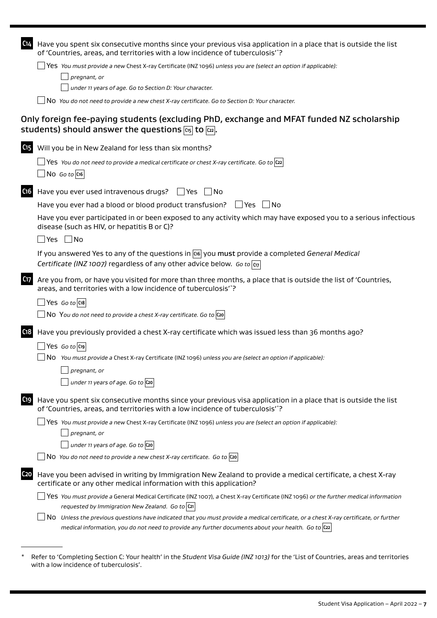|                 | medical information, you do not need to provide any further documents about your health. Go to $ c_2 $                                                                                                       |
|-----------------|--------------------------------------------------------------------------------------------------------------------------------------------------------------------------------------------------------------|
|                 | No Unless the previous questions have indicated that you must provide a medical certificate, or a chest X-ray certificate, or further                                                                        |
|                 | requested by Immigration New Zealand. Go to C21                                                                                                                                                              |
|                 | Yes You must provide a General Medical Certificate (INZ 1007), a Chest X-ray Certificate (INZ 1096) or the further medical information                                                                       |
| C <sub>20</sub> | Have you been advised in writing by Immigration New Zealand to provide a medical certificate, a chest X-ray<br>certificate or any other medical information with this application?                           |
|                 | No You do not need to provide a new chest X-ray certificate. Go to $\vert$ C20                                                                                                                               |
|                 | under 11 years of age. Go to $ $ C20                                                                                                                                                                         |
|                 | pregnant, or                                                                                                                                                                                                 |
|                 | Nes You must provide a new Chest X-ray Certificate (INZ 1096) unless you are (select an option if applicable):                                                                                               |
| C19             | Have you spent six consecutive months since your previous visa application in a place that is outside the list<br>of 'Countries, areas, and territories with a low incidence of tuberculosis"?               |
|                 | pregnant, or<br>under 11 years of age. Go to $ $ C <sub>20</sub>                                                                                                                                             |
|                 | No You must provide a Chest X-ray Certificate (INZ 1096) unless you are (select an option if applicable):                                                                                                    |
|                 | $ $ Yes Goto $ $ C19 $ $                                                                                                                                                                                     |
| C <sub>18</sub> | Have you previously provided a chest X-ray certificate which was issued less than 36 months ago?                                                                                                             |
|                 | $\Box$ N0 You do not need to provide a chest X-ray certificate. Go to $ {\rm co} $                                                                                                                           |
|                 | $\Box$ Yes Go to C18                                                                                                                                                                                         |
| C <sub>17</sub> | Are you from, or have you visited for more than three months, a place that is outside the list of 'Countries,<br>areas, and territories with a low incidence of tuberculosis"?                               |
|                 | If you answered Yes to any of the questions in $\cos$ you must provide a completed General Medical<br>Certificate (INZ 1007) regardless of any other advice below. Go to $\overline{c_{17}}$                 |
|                 | _ Yes  __ No                                                                                                                                                                                                 |
|                 | Have you ever participated in or been exposed to any activity which may have exposed you to a serious infectious<br>disease (such as HIV, or hepatitis B or C)?                                              |
|                 | Have you ever had a blood or blood product transfusion? $\Box$ Yes $\Box$ No                                                                                                                                 |
| C <sub>16</sub> | Have you ever used intravenous drugs? $\Box$ Yes $\Box$ No                                                                                                                                                   |
|                 | $ $ No Goto $ $ C16 $ $                                                                                                                                                                                      |
|                 | Set You do not need to provide a medical certificate or chest X-ray certificate. Go to $ 22 $                                                                                                                |
| C15             | Will you be in New Zealand for less than six months?                                                                                                                                                         |
|                 | Only foreign fee-paying students (excluding PhD, exchange and MFAT funded NZ scholarship<br>students) should answer the questions $\overline{c_{15}}$ to $\overline{c_{22}}$ .                               |
|                 | No You do not need to provide a new chest X-ray certificate. Go to Section D: Your character.                                                                                                                |
|                 | under 11 years of age. Go to Section D: Your character.                                                                                                                                                      |
|                 | pregnant, or                                                                                                                                                                                                 |
|                 | $\Box$ Yes You must provide a new Chest X-ray Certificate (INZ 1096) unless you are (select an option if applicable):                                                                                        |
| C14             | Have you spent six consecutive months since your previous visa application in a place that is outside the list<br>of 'Countries, areas, and territories with a low incidence of tuberculosis' <sup>*</sup> ? |

\* Refer to 'Completing Section C: Your health' in the *Student Visa Guide (INZ 1013)* for the 'List of Countries, areas and territories with a low incidence of tuberculosis'.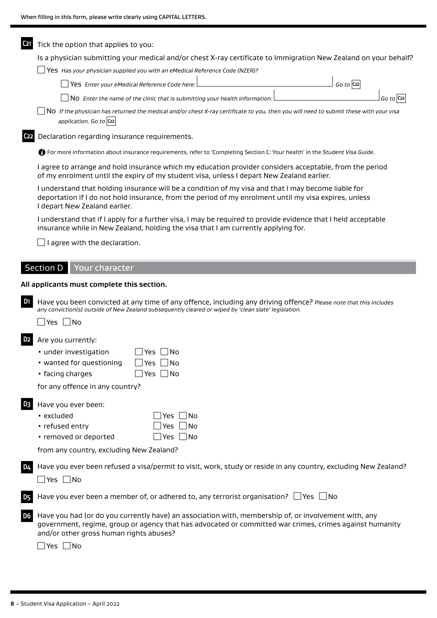| C <sub>21</sub>             | Tick the option that applies to you:                                                                                                                                                                                                                                        |
|-----------------------------|-----------------------------------------------------------------------------------------------------------------------------------------------------------------------------------------------------------------------------------------------------------------------------|
|                             | Is a physician submitting your medical and/or chest X-ray certificate to Immigration New Zealand on your behalf?<br>$\blacksquare$ Yes Has your physician supplied you with an eMedical Reference Code (NZER)?                                                              |
|                             | $Go$ to $C22$<br>Yes Enter your eMedical Reference Code here:                                                                                                                                                                                                               |
|                             |                                                                                                                                                                                                                                                                             |
|                             | No Enter the name of the clinic that is submitting your health information:<br>Go to $ C_{22} $<br>NO If the physician has returned the medical and/or chest X-ray certificate to you, then you will need to submit these with your visa                                    |
|                             | application. Go to C22                                                                                                                                                                                                                                                      |
| C <sub>22</sub>             | Declaration regarding insurance requirements.                                                                                                                                                                                                                               |
|                             | <b>D</b> For more information about insurance requirements, refer to 'Completing Section C: Your health' in the Student Visa Guide.                                                                                                                                         |
|                             | I agree to arrange and hold insurance which my education provider considers acceptable, from the period<br>of my enrolment until the expiry of my student visa, unless I depart New Zealand earlier.                                                                        |
|                             | I understand that holding insurance will be a condition of my visa and that I may become liable for<br>deportation if I do not hold insurance, from the period of my enrolment until my visa expires, unless<br>I depart New Zealand earlier.                               |
|                             | I understand that if I apply for a further visa, I may be required to provide evidence that I held acceptable<br>insurance while in New Zealand, holding the visa that I am currently applying for.                                                                         |
|                             | I agree with the declaration.                                                                                                                                                                                                                                               |
|                             | Section D   Your character                                                                                                                                                                                                                                                  |
|                             | All applicants must complete this section.                                                                                                                                                                                                                                  |
| D <sub>1</sub>              | Have you been convicted at any time of any offence, including any driving offence? Please note that this includes<br>any conviction(s) outside of New Zealand subsequently cleared or wiped by 'clean slate' legislation.<br>Yes $\Box$ No                                  |
| D <sub>2</sub>              |                                                                                                                                                                                                                                                                             |
|                             |                                                                                                                                                                                                                                                                             |
|                             | Are you currently:<br>• under investigation<br>- INo<br>_ Yes                                                                                                                                                                                                               |
|                             | • wanted for questioning<br>No<br>Yes                                                                                                                                                                                                                                       |
|                             | Yes $\Box$ No<br>• facing charges                                                                                                                                                                                                                                           |
|                             | for any offence in any country?                                                                                                                                                                                                                                             |
| D <sub>3</sub>              | Have you ever been:                                                                                                                                                                                                                                                         |
|                             | ∫No<br>• excluded<br>Yes                                                                                                                                                                                                                                                    |
|                             | • refused entry<br>$\overline{\phantom{a}}$ No<br>Yes                                                                                                                                                                                                                       |
|                             | • removed or deported<br>Yes $\Box$ No                                                                                                                                                                                                                                      |
|                             | from any country, excluding New Zealand?                                                                                                                                                                                                                                    |
| <b>D4</b>                   | Have you ever been refused a visa/permit to visit, work, study or reside in any country, excluding New Zealand?<br>$\Box$ Yes $\Box$ No                                                                                                                                     |
|                             | Have you ever been a member of, or adhered to, any terrorist organisation? $\Box$ Yes $\Box$ No                                                                                                                                                                             |
| <b>D5</b><br>D <sub>6</sub> | Have you had (or do you currently have) an association with, membership of, or involvement with, any<br>government, regime, group or agency that has advocated or committed war crimes, crimes against humanity<br>and/or other gross human rights abuses?<br>Yes $\Box$ No |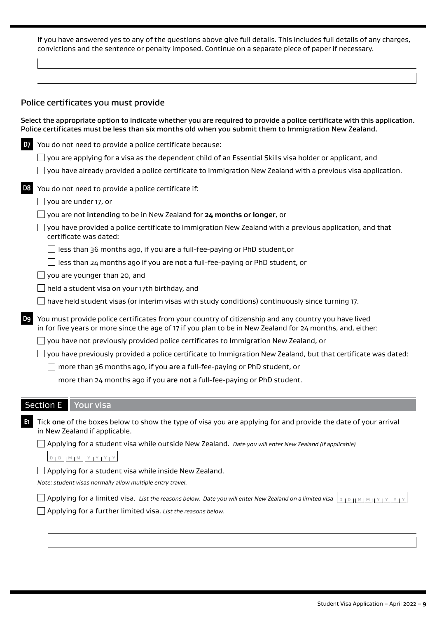If you have answered yes to any of the questions above give full details. This includes full details of any charges, convictions and the sentence or penalty imposed. Continue on a separate piece of paper if necessary.

#### Police certificates you must provide

|                | Select the appropriate option to indicate whether you are required to provide a police certificate with this application.<br>Police certificates must be less than six months old when you submit them to Immigration New Zealand. |
|----------------|------------------------------------------------------------------------------------------------------------------------------------------------------------------------------------------------------------------------------------|
| <b>D7</b>      | You do not need to provide a police certificate because:                                                                                                                                                                           |
|                | you are applying for a visa as the dependent child of an Essential Skills visa holder or applicant, and                                                                                                                            |
|                | you have already provided a police certificate to Immigration New Zealand with a previous visa application.                                                                                                                        |
| D <sub>8</sub> | You do not need to provide a police certificate if:                                                                                                                                                                                |
|                | you are under 17, or                                                                                                                                                                                                               |
|                | you are not intending to be in New Zealand for 24 months or longer, or                                                                                                                                                             |
|                | you have provided a police certificate to Immigration New Zealand with a previous application, and that<br>certificate was dated:                                                                                                  |
|                | less than 36 months ago, if you are a full-fee-paying or PhD student, or                                                                                                                                                           |
|                | less than 24 months ago if you are not a full-fee-paying or PhD student, or                                                                                                                                                        |
|                | you are younger than 20, and                                                                                                                                                                                                       |
|                | held a student visa on your 17th birthday, and                                                                                                                                                                                     |
|                | have held student visas (or interim visas with study conditions) continuously since turning 17.                                                                                                                                    |
| D9             | You must provide police certificates from your country of citizenship and any country you have lived<br>in for five years or more since the age of 17 if you plan to be in New Zealand for 24 months, and, either:                 |
|                | you have not previously provided police certificates to Immigration New Zealand, or                                                                                                                                                |
|                | you have previously provided a police certificate to Immigration New Zealand, but that certificate was dated:                                                                                                                      |
|                | more than 36 months ago, if you are a full-fee-paying or PhD student, or                                                                                                                                                           |
|                | more than 24 months ago if you are not a full-fee-paying or PhD student.                                                                                                                                                           |
|                | <b>Section E</b><br>Your visa                                                                                                                                                                                                      |
|                |                                                                                                                                                                                                                                    |
| $E_1$          | Tick one of the boxes below to show the type of visa you are applying for and provide the date of your arrival<br>in New Zealand if applicable.                                                                                    |
|                | Applying for a student visa while outside New Zealand. Date you will enter New Zealand (if applicable)                                                                                                                             |
|                | $D D D H M M H Y Y Y Y Y$                                                                                                                                                                                                          |
|                | Applying for a student visa while inside New Zealand.<br>Note: student visas normally allow multiple entry travel.                                                                                                                 |
|                | Applying for a limited visa. List the reasons below. Date you will enter New Zealand on a limited visa $\lfloor p_1 p_2 \rfloor$ $\lfloor n_1 M_1 N_2 \rfloor$ $\lfloor y_1 y_2 \rfloor$                                           |
|                | Applying for a further limited visa. List the reasons below.                                                                                                                                                                       |
|                |                                                                                                                                                                                                                                    |
|                |                                                                                                                                                                                                                                    |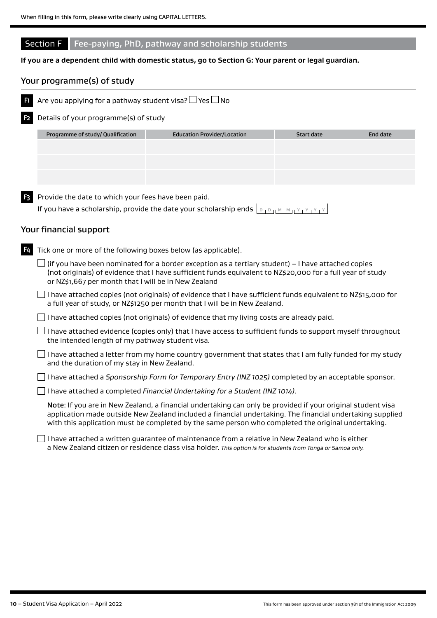#### Section F Fee-paying, PhD, pathway and scholarship students

#### **If you are a dependent child with domestic status, go to Section G: Your parent or legal guardian.**

#### Your programme(s) of study



**F1** Are you applying for a pathway student visa?  $\Box$  Yes  $\Box$  No

**F2** Details of your programme(s) of study

| Programme of study/ Qualification | <b>Education Provider/Location</b> | Start date | End date |
|-----------------------------------|------------------------------------|------------|----------|
|                                   |                                    |            |          |
|                                   |                                    |            |          |
|                                   |                                    |            |          |
|                                   |                                    |            |          |
|                                   |                                    |            |          |

**F3** Provide the date to which your fees have been paid.

If you have a scholarship, provide the date your scholarship ends  $\Box_{D_1 D_1 M_1 M_2}$ 

#### Your financial support

| F4 | Tick one or more of the following boxes below (as applicable).                                                                                                                                                                                                                                                                 |
|----|--------------------------------------------------------------------------------------------------------------------------------------------------------------------------------------------------------------------------------------------------------------------------------------------------------------------------------|
|    | $\Box$ (if you have been nominated for a border exception as a tertiary student) – I have attached copies<br>(not originals) of evidence that I have sufficient funds equivalent to NZ\$20,000 for a full year of study<br>or NZ\$1,667 per month that I will be in New Zealand                                                |
|    | I have attached copies (not originals) of evidence that I have sufficient funds equivalent to NZ\$15,000 for<br>a full year of study, or NZ\$1250 per month that I will be in New Zealand.                                                                                                                                     |
|    | I have attached copies (not originals) of evidence that my living costs are already paid.                                                                                                                                                                                                                                      |
|    | I have attached evidence (copies only) that I have access to sufficient funds to support myself throughout<br>the intended length of my pathway student visa.                                                                                                                                                                  |
|    | I have attached a letter from my home country government that states that I am fully funded for my study<br>and the duration of my stay in New Zealand.                                                                                                                                                                        |
|    | have attached a Sponsorship Form for Temporary Entry (INZ 1025) completed by an acceptable sponsor.                                                                                                                                                                                                                            |
|    | I have attached a completed Financial Undertaking for a Student (INZ 1014).                                                                                                                                                                                                                                                    |
|    | Note: If you are in New Zealand, a financial undertaking can only be provided if your original student visa<br>application made outside New Zealand included a financial undertaking. The financial undertaking supplied<br>with this application must be completed by the same person who completed the original undertaking. |
|    | I have attached a written guarantee of maintenance from a relative in New Zealand who is either<br>a New Zealand citizen or residence class visa holder. This option is for students from Tonga or Samoa only.                                                                                                                 |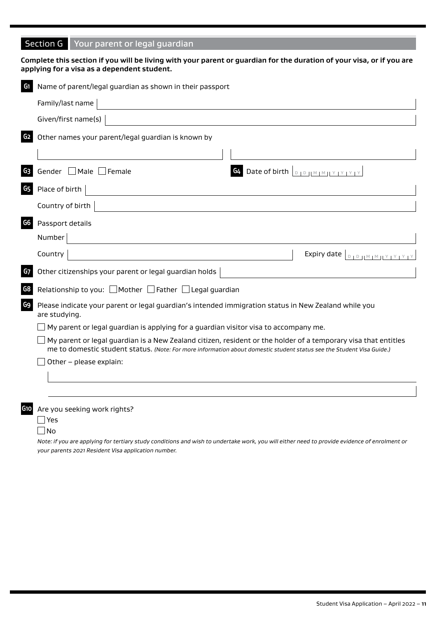### Section G Your parent or legal guardian

|                 | applying for a visa as a dependent student.                                                                                                                                                                                             |
|-----------------|-----------------------------------------------------------------------------------------------------------------------------------------------------------------------------------------------------------------------------------------|
| G1              | Name of parent/legal guardian as shown in their passport                                                                                                                                                                                |
|                 | Family/last name                                                                                                                                                                                                                        |
|                 | Given/first name(s)                                                                                                                                                                                                                     |
| G <sub>2</sub>  | Other names your parent/legal guardian is known by                                                                                                                                                                                      |
|                 |                                                                                                                                                                                                                                         |
| G <sub>3</sub>  | Gender □ Male □ Female<br>Date of birth <b>DIDIMIMIY YEY</b>                                                                                                                                                                            |
| G <sub>5</sub>  | Place of birth                                                                                                                                                                                                                          |
|                 | Country of birth                                                                                                                                                                                                                        |
| G6              | Passport details                                                                                                                                                                                                                        |
|                 | Number                                                                                                                                                                                                                                  |
|                 | Country<br>Expiry date $\vert_{\text{DIPHMIMIN} \times \text{IYIV} \times \text{IY}}$                                                                                                                                                   |
| G7              | Other citizenships your parent or legal guardian holds                                                                                                                                                                                  |
| G8              | Relationship to you: □ Mother □ Father □ Legal guardian                                                                                                                                                                                 |
| G9              | Please indicate your parent or legal guardian's intended immigration status in New Zealand while you<br>are studying.                                                                                                                   |
|                 | My parent or legal guardian is applying for a guardian visitor visa to accompany me.                                                                                                                                                    |
|                 | My parent or legal guardian is a New Zealand citizen, resident or the holder of a temporary visa that entitles<br>me to domestic student status. (Note: For more information about domestic student status see the Student Visa Guide.) |
|                 | Other - please explain:                                                                                                                                                                                                                 |
|                 |                                                                                                                                                                                                                                         |
|                 |                                                                                                                                                                                                                                         |
| G <sub>10</sub> | Are you seeking work rights?                                                                                                                                                                                                            |
|                 | Yes                                                                                                                                                                                                                                     |

**Complete this section if you will be living with your parent or guardian for the duration of your visa, or if you are** 

#### $\Box$ No

*Note: if you are applying for tertiary study conditions and wish to undertake work, you will either need to provide evidence of enrolment or your parents 2021 Resident Visa application number.*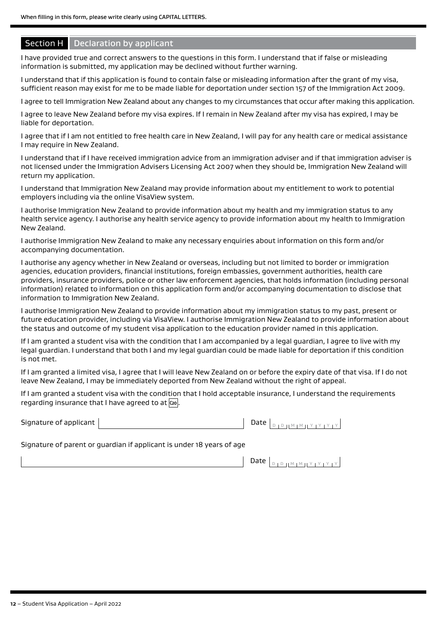#### **Section H** Declaration by applicant

I have provided true and correct answers to the questions in this form. I understand that if false or misleading information is submitted, my application may be declined without further warning.

I understand that if this application is found to contain false or misleading information after the grant of my visa, sufficient reason may exist for me to be made liable for deportation under section 157 of the Immigration Act 2009.

I agree to tell Immigration New Zealand about any changes to my circumstances that occur after making this application.

I agree to leave New Zealand before my visa expires. If I remain in New Zealand after my visa has expired, I may be liable for deportation.

I agree that if I am not entitled to free health care in New Zealand, I will pay for any health care or medical assistance I may require in New Zealand.

I understand that if I have received immigration advice from an immigration adviser and if that immigration adviser is not licensed under the Immigration Advisers Licensing Act 2007 when they should be, Immigration New Zealand will return my application.

I understand that Immigration New Zealand may provide information about my entitlement to work to potential employers including via the online VisaView system.

I authorise Immigration New Zealand to provide information about my health and my immigration status to any health service agency. I authorise any health service agency to provide information about my health to Immigration New Zealand.

I authorise Immigration New Zealand to make any necessary enquiries about information on this form and/or accompanying documentation.

I authorise any agency whether in New Zealand or overseas, including but not limited to border or immigration agencies, education providers, financial institutions, foreign embassies, government authorities, health care providers, insurance providers, police or other law enforcement agencies, that holds information (including personal information) related to information on this application form and/or accompanying documentation to disclose that information to Immigration New Zealand.

I authorise Immigration New Zealand to provide information about my immigration status to my past, present or future education provider, including via VisaView. I authorise Immigration New Zealand to provide information about the status and outcome of my student visa application to the education provider named in this application.

If I am granted a student visa with the condition that I am accompanied by a legal guardian, I agree to live with my legal guardian. I understand that both I and my legal guardian could be made liable for deportation if this condition is not met.

If I am granted a limited visa, I agree that I will leave New Zealand on or before the expiry date of that visa. If I do not leave New Zealand, I may be immediately deported from New Zealand without the right of appeal.

If I am granted a student visa with the condition that I hold acceptable insurance, I understand the requirements regarding insurance that I have agreed to at **C20** .

| Signature of applicant |  |  |  |  |  |
|------------------------|--|--|--|--|--|
|                        |  |  |  |  |  |

Signature of parent or guardian if applicant is under 18 years of age

| $[ D I D H M I M H Y I Y I Y ]$ |
|---------------------------------|
|---------------------------------|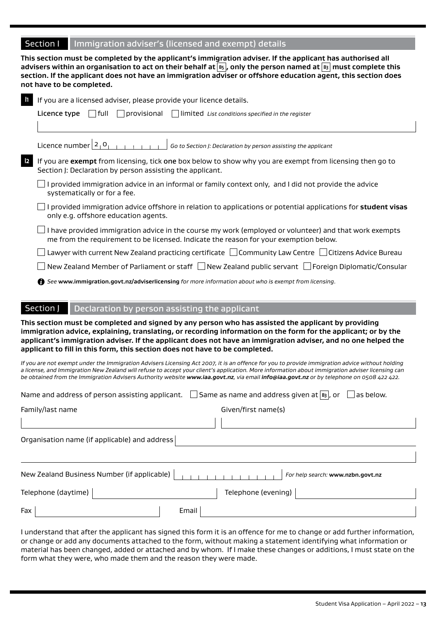#### Section I | Immigration adviser's (licensed and exempt) details

**This section must be completed by the applicant's immigration adviser. If the applicant has authorised all advisers within an organisation to act on their behalf at B5 , only the person named at B3 must complete this section. If the applicant does not have an immigration adviser or offshore education agent, this section does not have to be completed.**

| $\mathsf{L}$  | If you are a licensed adviser, please provide your licence details.                                                                                                                             |
|---------------|-------------------------------------------------------------------------------------------------------------------------------------------------------------------------------------------------|
|               | l Ifull<br>$\Box$ provisional $\Box$ limited List conditions specified in the register<br>Licence type                                                                                          |
|               |                                                                                                                                                                                                 |
|               | Licence number $2_1$ <sup>O</sup><br>Go to Section J: Declaration by person assisting the applicant                                                                                             |
| $\mathsf{I2}$ | If you are exempt from licensing, tick one box below to show why you are exempt from licensing then go to<br>Section J: Declaration by person assisting the applicant.                          |
|               | I provided immigration advice in an informal or family context only, and I did not provide the advice<br>systematically or for a fee.                                                           |
|               | I provided immigration advice offshore in relation to applications or potential applications for student visas<br>only e.g. offshore education agents.                                          |
|               | I have provided immigration advice in the course my work (employed or volunteer) and that work exempts<br>me from the requirement to be licensed. Indicate the reason for your exemption below. |
|               | Lawyer with current New Zealand practicing certificate $\Box$ Community Law Centre $\Box$ Citizens Advice Bureau                                                                                |
|               | $\Box$ New Zealand Member of Parliament or staff $\Box$ New Zealand public servant $\Box$ Foreign Diplomatic/Consular                                                                           |
|               | <b>6</b> See www.immigration.govt.nz/adviserlicensing for more information about who is exempt from licensing.                                                                                  |
|               |                                                                                                                                                                                                 |
|               | Section J<br>Declaration by person assisting the applicant                                                                                                                                      |
|               | This section must be completed and signed by any person who has assisted the applicant by providing                                                                                             |

**immigration advice, explaining, translating, or recording information on the form for the applicant; or by the applicant's immigration adviser. If the applicant does not have an immigration adviser, and no one helped the applicant to fill in this form, this section does not have to be completed.**

*If you are not exempt under the Immigration Advisers Licensing Act 2007, it is an offence for you to provide immigration advice without holding a license, and Immigration New Zealand will refuse to accept your client's application. More information about immigration adviser licensing can be obtained from the Immigration Advisers Authority website<www.iaa.govt.nz>, via email [info@iaa.govt.nz](mailto:info@iaa.govt.nz) or by telephone on 0508 422 422.* 

| Name and address of person assisting applicant. | $\Box$ Same as name and address given at $\boxed{B_3}$ , or<br>as below. |
|-------------------------------------------------|--------------------------------------------------------------------------|
| Family/last name                                | Given/first name(s)                                                      |
|                                                 |                                                                          |
| Organisation name (if applicable) and address   |                                                                          |
|                                                 |                                                                          |
| New Zealand Business Number (if applicable)     | For help search: www.nzbn.govt.nz                                        |
| Telephone (daytime)                             | Telephone (evening)                                                      |
| Fax<br>Email                                    |                                                                          |

I understand that after the applicant has signed this form it is an offence for me to change or add further information, or change or add any documents attached to the form, without making a statement identifying what information or material has been changed, added or attached and by whom. If I make these changes or additions, I must state on the form what they were, who made them and the reason they were made.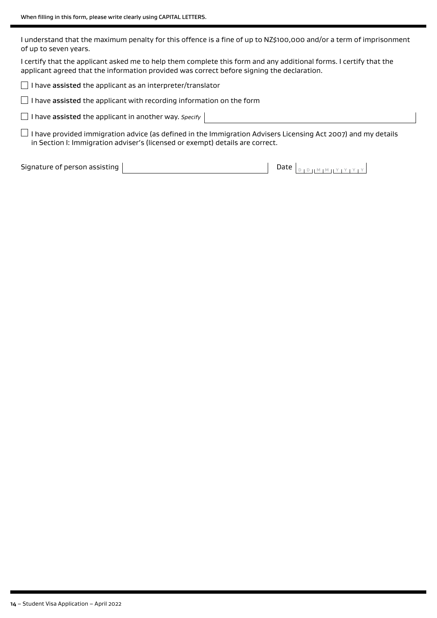I understand that the maximum penalty for this offence is a fine of up to NZ\$100,000 and/or a term of imprisonment of up to seven years.

I certify that the applicant asked me to help them complete this form and any additional forms. I certify that the applicant agreed that the information provided was correct before signing the declaration.

 $\Box$  I have assisted the applicant as an interpreter/translator

 $\Box$  I have assisted the applicant with recording information on the form

I have assisted the applicant in another way. *Specify*

 $\square$  I have provided immigration advice (as defined in the Immigration Advisers Licensing Act 2007) and my details in Section I: Immigration adviser's (licensed or exempt) details are correct.

Signature of person assisting Date <sup>D</sup> <sup>D</sup> <sup>M</sup> <sup>M</sup> <sup>Y</sup> <sup>Y</sup> <sup>Y</sup> <sup>Y</sup>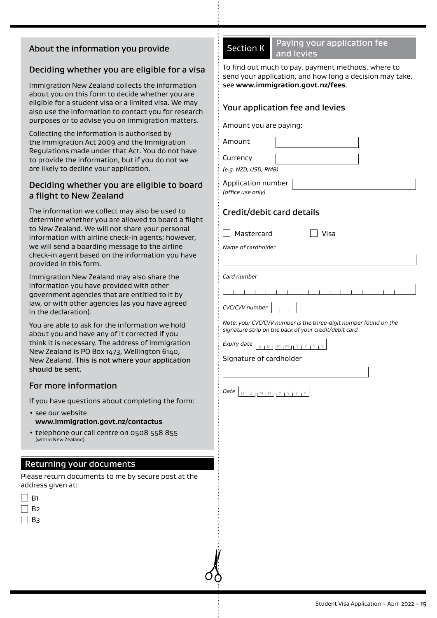#### About the information you provide

#### Deciding whether you are eligible for a visa

Immigration New Zealand collects the information about you on this form to decide whether you are eligible for a student visa or a limited visa. We may also use the information to contact you for research purposes or to advise you on immigration matters.

Collecting the information is authorised by the Immigration Act 2009 and the Immigration Regulations made under that Act. You do not have to provide the information, but if you do not we are likely to decline your application.

#### Deciding whether you are eligible to board a flight to New Zealand

The information we collect may also be used to determine whether you are allowed to board a flight to New Zealand. We will not share your personal information with airline check-in agents; however, we will send a boarding message to the airline check-in agent based on the information you have provided in this form.

Immigration New Zealand may also share the information you have provided with other government agencies that are entitled to it by law, or with other agencies (as you have agreed in the declaration).

You are able to ask for the information we hold about you and have any of it corrected if you think it is necessary. The address of Immigration New Zealand is PO Box 1473, Wellington 6140, New Zealand. This is not where your application should be sent.

#### For more information

If you have questions about completing the form:

- see our website **<www.immigration.govt.nz/contactus>**
- telephone our call centre on 0508 558 855 (within New Zealand).

#### Returning your documents

Please return documents to me by secure post at the address given at:

| В1 |  |  |
|----|--|--|
| В2 |  |  |
| B٦ |  |  |

Section K Paying your application fee and levies

To find out much to pay, payment methods, where to send your application, and how long a decision may take, see **www.immigration.govt.nz/fees**.

#### Your application fee and levies

Amount you are paying: Amount Currency *(e.g. NZD, USD, RMB)* Application number *(office use only)* Credit/debit card details  $\Box$  Mastercard  $\Box$  Visa *Name of cardholder Card number*



*Note: your CVC/CVV number is the three-digit number found on the signature strip on the back of your credit/debit card.*

*Expiry date*  $\vert_{\text{D 1 D 11 M 1 \underline{M 11 Y 1 Y 1 Y 1 Y}}}$ 

Signature of cardholder

*Date* <sup>D</sup> <sup>D</sup> <sup>M</sup> <sup>M</sup> <sup>Y</sup> <sup>Y</sup> <sup>Y</sup> <sup>Y</sup>